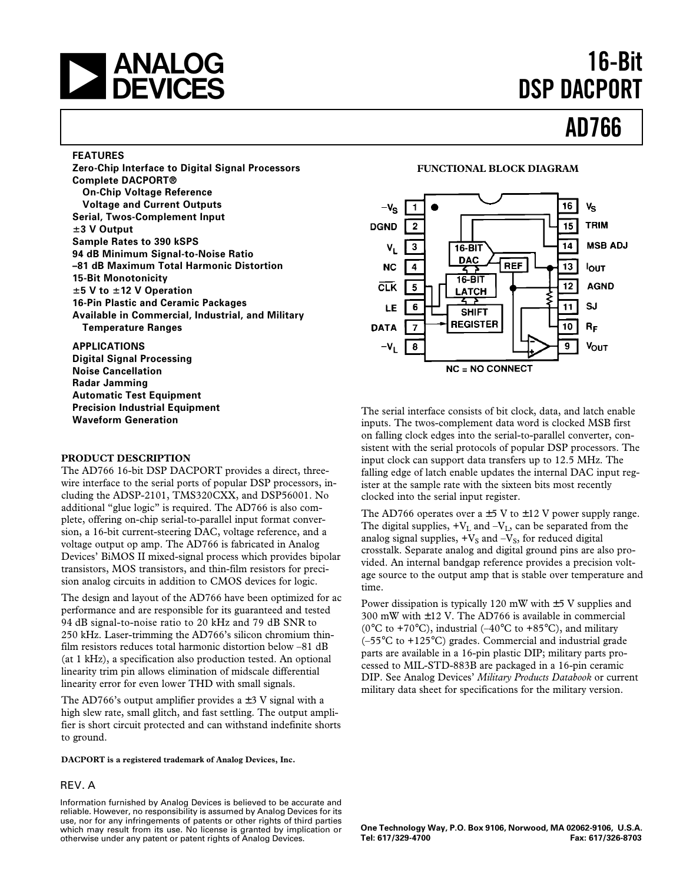# **a 16-Bit**<br> **16-Bit 16-Bit 16-Bit 16-Bit 16-Bit 16-Bit 16-Bit 16-Bit 16-Bit 16-Bit 16-Bit 16-Bit 16-Bit**

# **DSP DACPORT**

**AD766**

#### **FEATURES**

**Zero-Chip Interface to Digital Signal Processors Complete DACPORT® On-Chip Voltage Reference Voltage and Current Outputs Serial, Twos-Complement Input** 6**3 V Output Sample Rates to 390 kSPS 94 dB Minimum Signal-to-Noise Ratio –81 dB Maximum Total Harmonic Distortion 15-Bit Monotonicity** 6**5 V to** 6**12 V Operation 16-Pin Plastic and Ceramic Packages Available in Commercial, Industrial, and Military Temperature Ranges**

#### **APPLICATIONS**

**Digital Signal Processing Noise Cancellation Radar Jamming Automatic Test Equipment Precision Industrial Equipment Waveform Generation**

#### **PRODUCT DESCRIPTION**

The AD766 16-bit DSP DACPORT provides a direct, threewire interface to the serial ports of popular DSP processors, including the ADSP-2101, TMS320CXX, and DSP56001. No additional "glue logic" is required. The AD766 is also complete, offering on-chip serial-to-parallel input format conversion, a 16-bit current-steering DAC, voltage reference, and a voltage output op amp. The AD766 is fabricated in Analog Devices' BiMOS II mixed-signal process which provides bipolar transistors, MOS transistors, and thin-film resistors for precision analog circuits in addition to CMOS devices for logic.

The design and layout of the AD766 have been optimized for ac performance and are responsible for its guaranteed and tested 94 dB signal-to-noise ratio to 20 kHz and 79 dB SNR to 250 kHz. Laser-trimming the AD766's silicon chromium thinfilm resistors reduces total harmonic distortion below –81 dB (at 1 kHz), a specification also production tested. An optional linearity trim pin allows elimination of midscale differential linearity error for even lower THD with small signals.

The AD766's output amplifier provides a  $\pm$  3 V signal with a high slew rate, small glitch, and fast settling. The output amplifier is short circuit protected and can withstand indefinite shorts to ground.

**DACPORT is a registered trademark of Analog Devices, Inc.**

#### REV. A

Information furnished by Analog Devices is believed to be accurate and reliable. However, no responsibility is assumed by Analog Devices for its use, nor for any infringements of patents or other rights of third parties which may result from its use. No license is granted by implication or otherwise under any patent or patent rights of Analog Devices.

#### **FUNCTIONAL BLOCK DIAGRAM**



The serial interface consists of bit clock, data, and latch enable inputs. The twos-complement data word is clocked MSB first on falling clock edges into the serial-to-parallel converter, consistent with the serial protocols of popular DSP processors. The input clock can support data transfers up to 12.5 MHz. The falling edge of latch enable updates the internal DAC input register at the sample rate with the sixteen bits most recently clocked into the serial input register.

The AD766 operates over a  $\pm$  5 V to  $\pm$  12 V power supply range. The digital supplies,  $+V_L$  and  $-V_L$ , can be separated from the analog signal supplies,  $+V_S$  and  $-V_S$ , for reduced digital crosstalk. Separate analog and digital ground pins are also provided. An internal bandgap reference provides a precision voltage source to the output amp that is stable over temperature and time.

Power dissipation is typically 120 mW with  $\pm$  5 V supplies and  $300$  mW with  $\pm 12$  V. The AD766 is available in commercial (0 $\rm{^{\circ}C}$  to +70 $\rm{^{\circ}C}$ ), industrial (-40 $\rm{^{\circ}C}$  to +85 $\rm{^{\circ}C}$ ), and military (–55°C to +125°C) grades. Commercial and industrial grade parts are available in a 16-pin plastic DIP; military parts processed to MIL-STD-883B are packaged in a 16-pin ceramic DIP. See Analog Devices' *Military Products Databook* or current military data sheet for specifications for the military version.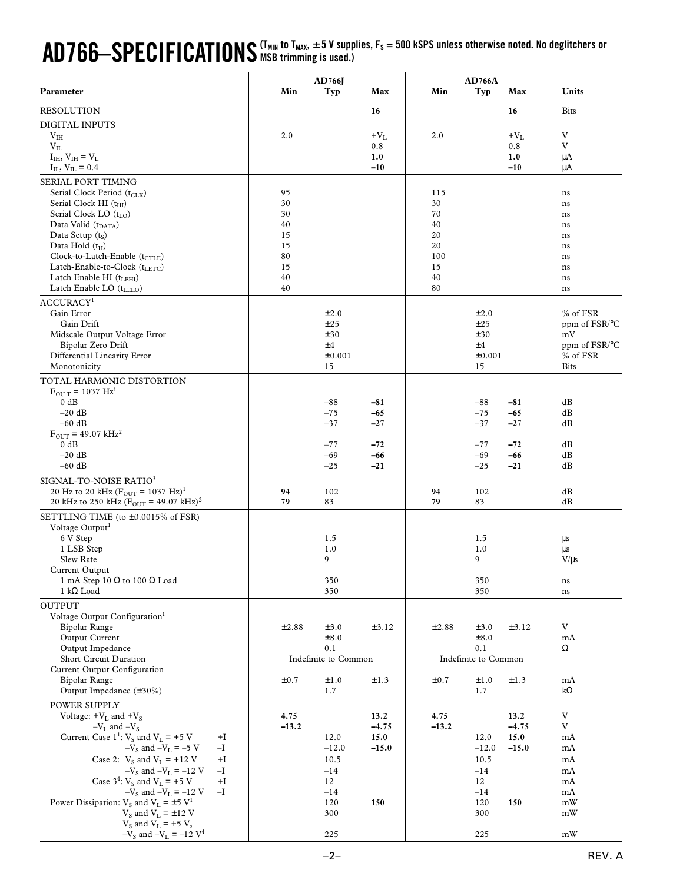## AD766—SPECIFICATIONS (T<sub>MIN</sub> to T<sub>MAX</sub>, ±5 V supplies, F<sub>S</sub> = 500 kSPS unless otherwise noted. No deglitchers or **MSB trimming is used.)**

|                                                                                                                          | AD766J   |                      | <b>AD766A</b>  |          |                      |                |                     |
|--------------------------------------------------------------------------------------------------------------------------|----------|----------------------|----------------|----------|----------------------|----------------|---------------------|
| Parameter                                                                                                                | Min      | Typ                  | Max            | Min      | Typ                  | Max            | Units               |
| <b>RESOLUTION</b>                                                                                                        |          |                      | 16             |          |                      | 16             | <b>Bits</b>         |
| DIGITAL INPUTS                                                                                                           |          |                      |                |          |                      |                |                     |
| V <sub>IH</sub>                                                                                                          | 2.0      |                      | $+V_{L}$       | 2.0      |                      | $+V_L$         | V                   |
| $V_{IL}$                                                                                                                 |          |                      | 0.8            |          |                      | 0.8            | V                   |
| $I_{IH}$ , $V_{IH} = V_L$<br>$I_{IL}$ , $V_{IL} = 0.4$                                                                   |          |                      | 1.0<br>$-10$   |          |                      | 1.0<br>$-10$   | μA<br>μA            |
| SERIAL PORT TIMING                                                                                                       |          |                      |                |          |                      |                |                     |
| Serial Clock Period $(t_{CLK})$                                                                                          | 95       |                      |                | 115      |                      |                | ns                  |
| Serial Clock HI (t <sub>HI</sub> )                                                                                       | 30       |                      |                | 30       |                      |                | ns                  |
| Serial Clock LO (t <sub>LO</sub> )                                                                                       | 30       |                      |                | 70       |                      |                | ns                  |
| Data Valid $(tDATA)$                                                                                                     | 40       |                      |                | 40       |                      |                | ns                  |
| Data Setup $(t_S)$<br>Data Hold $(t_H)$                                                                                  | 15<br>15 |                      |                | 20<br>20 |                      |                | ns<br>ns            |
| Clock-to-Latch-Enable (t <sub>CTLE</sub> )                                                                               | 80       |                      |                | 100      |                      |                | ns                  |
| Latch-Enable-to-Clock (tLETC)                                                                                            | 15       |                      |                | 15       |                      |                | ns                  |
| Latch Enable HI $(tLEHI)$                                                                                                | 40       |                      |                | 40       |                      |                | ns                  |
| Latch Enable LO $(tLELO)$                                                                                                | 40       |                      |                | 80       |                      |                | ns                  |
| ACCURACY <sup>1</sup>                                                                                                    |          |                      |                |          |                      |                |                     |
| Gain Error                                                                                                               |          | ±2.0                 |                |          | $\pm 2.0$            |                | % of FSR            |
| Gain Drift<br>Midscale Output Voltage Error                                                                              |          | ±25<br>±30           |                |          | ±25<br>±30           |                | ppm of FSR/°C<br>mV |
| Bipolar Zero Drift                                                                                                       |          | ±4                   |                |          | ±4                   |                | ppm of FSR/°C       |
| Differential Linearity Error                                                                                             |          | ±0.001               |                |          | ±0.001               |                | % of FSR            |
| Monotonicity                                                                                                             |          | 15                   |                |          | 15                   |                | <b>Bits</b>         |
| TOTAL HARMONIC DISTORTION                                                                                                |          |                      |                |          |                      |                |                     |
| $F_{\text{OUT}} = 1037 \text{ Hz}^1$                                                                                     |          |                      |                |          |                      |                |                     |
| 0 dB<br>$-20$ dB                                                                                                         |          | $-88$                | $-81$          |          | $-88$                | $-81$          | dB                  |
| $-60$ dB                                                                                                                 |          | $-75$<br>$-37$       | $-65$<br>$-27$ |          | $-75$<br>$-37$       | $-65$<br>$-27$ | dB<br>dB            |
| $F_{\text{OUT}} = 49.07 \text{ kHz}^2$                                                                                   |          |                      |                |          |                      |                |                     |
| 0 dB                                                                                                                     |          | -77                  | $-72$          |          | $-77$                | $-72$          | dB                  |
| $-20$ dB                                                                                                                 |          | $-69$                | -66            |          | $-69$                | -66            | dB                  |
| $-60$ dB                                                                                                                 |          | $-25$                | $-21$          |          | $-25$                | $-21$          | dB                  |
| SIGNAL-TO-NOISE RATIO <sup>3</sup>                                                                                       |          |                      |                |          |                      |                |                     |
| 20 Hz to 20 kHz $(F_{\text{OUT}} = 1037 \text{ Hz})^1$<br>20 kHz to 250 kHz ( $F_{\text{OUT}}$ = 49.07 kHz) <sup>2</sup> | 94<br>79 | 102<br>83            |                | 94<br>79 | 102<br>83            |                | dB<br>dB            |
|                                                                                                                          |          |                      |                |          |                      |                |                     |
| SETTLING TIME (to ±0.0015% of FSR)<br>Voltage Output <sup>1</sup>                                                        |          |                      |                |          |                      |                |                     |
| 6 V Step                                                                                                                 |          | 1.5                  |                |          | 1.5                  |                | μs                  |
| 1 LSB Step                                                                                                               |          | 1.0                  |                |          | 1.0                  |                | μs                  |
| Slew Rate                                                                                                                |          | 9                    |                |          | 9                    |                | $V/\mu s$           |
| Current Output                                                                                                           |          |                      |                |          |                      |                |                     |
| 1 mA Step 10 $\Omega$ to 100 $\Omega$ Load<br>$1 k\Omega$ Load                                                           |          | 350<br>350           |                |          | 350<br>350           |                | ns<br>ns            |
| <b>OUTPUT</b>                                                                                                            |          |                      |                |          |                      |                |                     |
| Voltage Output Configuration <sup>1</sup>                                                                                |          |                      |                |          |                      |                |                     |
| Bipolar Range                                                                                                            | ±2.88    | ±3.0                 | $\pm 3.12$     | ±2.88    | ±3.0                 | ±3.12          | V                   |
| Output Current                                                                                                           |          | ±8.0                 |                |          | ±8.0                 |                | mA                  |
| Output Impedance                                                                                                         |          | 0.1                  |                |          | 0.1                  |                | Ω                   |
| Short Circuit Duration<br>Current Output Configuration                                                                   |          | Indefinite to Common |                |          | Indefinite to Common |                |                     |
| <b>Bipolar Range</b>                                                                                                     | ±0.7     | ±1.0                 | ±1.3           | ±0.7     | ±1.0                 | ±1.3           | mA                  |
| Output Impedance $(\pm 30\%)$                                                                                            |          | 1.7                  |                |          | 1.7                  |                | $k\Omega$           |
| POWER SUPPLY                                                                                                             |          |                      |                |          |                      |                |                     |
| Voltage: $+V_L$ and $+V_S$                                                                                               | 4.75     |                      | 13.2           | 4.75     |                      | 13.2           | V                   |
| $-V_L$ and $-V_S$                                                                                                        | $-13.2$  |                      | $-4.75$        | $-13.2$  |                      | $-4.75$        | V                   |
| Current Case $1^1$ : $V_s$ and $V_L$ = +5 V<br>+I                                                                        |          | 12.0                 | 15.0           |          | 12.0                 | 15.0           | mA                  |
| $-VS$ and $-VL = -5$ V<br>$-I$<br>Case 2: $V_s$ and $V_L$ = +12 V<br>$+I$                                                |          | $-12.0$<br>10.5      | $-15.0$        |          | $-12.0$<br>10.5      | $-15.0$        | mA<br>mA            |
| $-V_S$ and $-V_L = -12$ V<br>$-I$                                                                                        |          | $-14$                |                |          | $-14$                |                | mA                  |
| Case $3^4$ : $V_S$ and $V_L$ = +5 V<br>$+I$                                                                              |          | 12                   |                |          | 12                   |                | mA                  |
| $-V_S$ and $-V_L$ = -12 V<br>$-I$                                                                                        |          | $-14$                |                |          | $-14$                |                | mA                  |
| Power Dissipation: $V_s$ and $V_L = \pm 5$ V <sup>1</sup>                                                                |          | 120                  | 150            |          | 120                  | 150            | mW                  |
| $V_S$ and $V_L = \pm 12$ V<br>$V_S$ and $V_L$ = +5 V,                                                                    |          | 300                  |                |          | 300                  |                | mW                  |
| $-V_S$ and $-V_L = -12 V^4$                                                                                              |          | 225                  |                |          | 225                  |                | mW                  |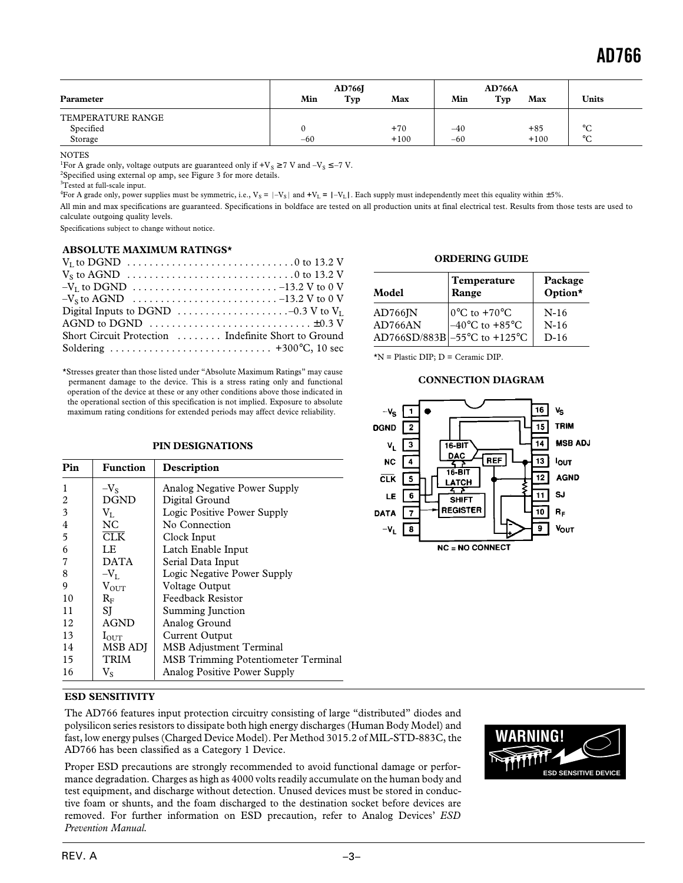| Parameter         | Min   | <b>AD766J</b><br>Typ | Max    | Min   | <b>AD766A</b><br>Typ<br>Max | <b>Units</b> |
|-------------------|-------|----------------------|--------|-------|-----------------------------|--------------|
| TEMPERATURE RANGE |       |                      |        |       |                             |              |
| Specified         |       |                      | $+70$  | $-40$ | $+85$                       | $\circ$<br>◡ |
| Storage           | $-60$ |                      | $+100$ | $-60$ | $+100$                      | $\circ$<br>◡ |

**NOTES** 

<sup>1</sup>For A grade only, voltage outputs are guaranteed only if  $\rm +V_S \geq 7$  V and  $\rm -V_S \leq -7$  V.

<sup>2</sup>Specified using external op amp, see Figure 3 for more details.

<sup>3</sup>Tested at full-scale input.

<sup>4</sup>For A grade only, power supplies must be symmetric, i.e.,  $V_S = |-V_S|$  and  $+V_L = |-V_L|$ . Each supply must independently meet this equality within  $\pm 5\%$ .

All min and max specifications are guaranteed. Specifications in boldface are tested on all production units at final electrical test. Results from those tests are used to calculate outgoing quality levels.

Specifications subject to change without notice.

#### **ABSOLUTE MAXIMUM RATINGS\***

| $-V_s$ to AGND $\ldots \ldots \ldots \ldots \ldots \ldots \ldots \ldots \ldots -13.2$ V to 0 V |
|------------------------------------------------------------------------------------------------|
| Digital Inputs to DGND $\ldots \ldots \ldots \ldots \ldots \ldots -0.3$ V to $V_L$             |
| AGND to DGND $\dots\dots\dots\dots\dots\dots\dots\dots\dots\dots\dots\dots\dots\dots$          |
| Short Circuit Protection  Indefinite Short to Ground                                           |
|                                                                                                |

\*Stresses greater than those listed under "Absolute Maximum Ratings" may cause permanent damage to the device. This is a stress rating only and functional operation of the device at these or any other conditions above those indicated in the operational section of this specification is not implied. Exposure to absolute maximum rating conditions for extended periods may affect device reliability.

#### **PIN DESIGNATIONS**

| Pin | <b>Function</b>         | Description                                |
|-----|-------------------------|--------------------------------------------|
| 1   | $-V_{S}$                | <b>Analog Negative Power Supply</b>        |
| 2   | <b>DGND</b>             | Digital Ground                             |
| 3   | $V_{L}$                 | Logic Positive Power Supply                |
| 4   | NC.                     | No Connection                              |
| 5   | $\overline{\text{CLK}}$ | Clock Input                                |
| 6   | LE                      | Latch Enable Input                         |
|     | <b>DATA</b>             | Serial Data Input                          |
| 8   | $-V_{L}$                | Logic Negative Power Supply                |
| 9   | $V_{\text{OUT}}$        | Voltage Output                             |
| 10  | $R_{\rm F}$             | <b>Feedback Resistor</b>                   |
| 11  | SI                      | Summing Junction                           |
| 12  | <b>AGND</b>             | Analog Ground                              |
| 13  | $I_{\rm OUT}$           | Current Output                             |
| 14  | <b>MSB ADI</b>          | <b>MSB</b> Adjustment Terminal             |
| 15  | <b>TRIM</b>             | <b>MSB Trimming Potentiometer Terminal</b> |
| 16  | $V_{S}$                 | Analog Positive Power Supply               |

#### **ORDERING GUIDE**

| Model                | <b>Temperature</b><br>Range        | Package<br>Option* |
|----------------------|------------------------------------|--------------------|
| $AD766$ <sup>N</sup> | $10^{\circ}$ C to +70 $^{\circ}$ C | $N-16$             |
| AD766AN              | $-40^{\circ}$ C to $+85^{\circ}$ C | $N-16$             |
|                      | AD766SD/883B -55°C to +125°C       | $D-16$             |

\*N = Plastic DIP; D = Ceramic DIP.

#### **CONNECTION DIAGRAM**



#### **ESD SENSITIVITY**

The AD766 features input protection circuitry consisting of large "distributed" diodes and polysilicon series resistors to dissipate both high energy discharges (Human Body Model) and fast, low energy pulses (Charged Device Model). Per Method 3015.2 of MIL-STD-883C, the AD766 has been classified as a Category 1 Device.

Proper ESD precautions are strongly recommended to avoid functional damage or performance degradation. Charges as high as 4000 volts readily accumulate on the human body and test equipment, and discharge without detection. Unused devices must be stored in conductive foam or shunts, and the foam discharged to the destination socket before devices are removed. For further information on ESD precaution, refer to Analog Devices' *ESD Prevention Manual.*

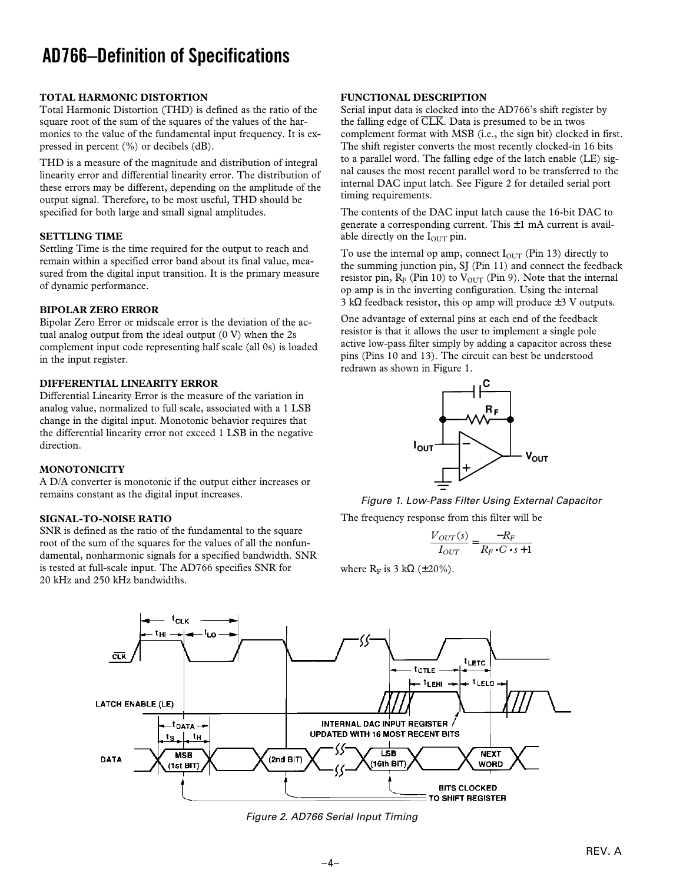# **AD766–Definition of Specifications**

#### **TOTAL HARMONIC DISTORTION**

Total Harmonic Distortion (THD) is defined as the ratio of the square root of the sum of the squares of the values of the harmonics to the value of the fundamental input frequency. It is expressed in percent (%) or decibels (dB).

THD is a measure of the magnitude and distribution of integral linearity error and differential linearity error. The distribution of these errors may be different, depending on the amplitude of the output signal. Therefore, to be most useful, THD should be specified for both large and small signal amplitudes.

#### **SETTLING TIME**

Settling Time is the time required for the output to reach and remain within a specified error band about its final value, measured from the digital input transition. It is the primary measure of dynamic performance.

#### **BIPOLAR ZERO ERROR**

Bipolar Zero Error or midscale error is the deviation of the actual analog output from the ideal output  $(0 V)$  when the 2s complement input code representing half scale (all 0s) is loaded in the input register.

#### **DIFFERENTIAL LINEARITY ERROR**

Differential Linearity Error is the measure of the variation in analog value, normalized to full scale, associated with a 1 LSB change in the digital input. Monotonic behavior requires that the differential linearity error not exceed 1 LSB in the negative direction.

#### **MONOTONICITY**

A D/A converter is monotonic if the output either increases or remains constant as the digital input increases.

#### **SIGNAL-TO-NOISE RATIO**

SNR is defined as the ratio of the fundamental to the square root of the sum of the squares for the values of all the nonfundamental, nonharmonic signals for a specified bandwidth. SNR is tested at full-scale input. The AD766 specifies SNR for 20 kHz and 250 kHz bandwidths.

#### **FUNCTIONAL DESCRIPTION**

Serial input data is clocked into the AD766's shift register by the falling edge of  $\overline{\text{CLK}}$ . Data is presumed to be in twos complement format with MSB (i.e., the sign bit) clocked in first. The shift register converts the most recently clocked-in 16 bits to a parallel word. The falling edge of the latch enable (LE) signal causes the most recent parallel word to be transferred to the internal DAC input latch. See Figure 2 for detailed serial port timing requirements.

The contents of the DAC input latch cause the 16-bit DAC to generate a corresponding current. This  $\pm 1$  mA current is available directly on the  $I_{\text{OUT}}$  pin.

To use the internal op amp, connect  $I<sub>OUT</sub>$  (Pin 13) directly to the summing junction pin, SJ (Pin 11) and connect the feedback resistor pin,  $R_F$  (Pin 10) to  $V_{OUT}$  (Pin 9). Note that the internal op amp is in the inverting configuration. Using the internal 3 kΩ feedback resistor, this op amp will produce  $±3$  V outputs.

One advantage of external pins at each end of the feedback resistor is that it allows the user to implement a single pole active low-pass filter simply by adding a capacitor across these pins (Pins 10 and 13). The circuit can best be understood redrawn as shown in Figure 1.



Figure 1. Low-Pass Filter Using External Capacitor The frequency response from this filter will be

$$
\frac{V_{OUT}(s)}{I_{OUT}} = \frac{-R_F}{R_F \cdot C \cdot s + 1}
$$

where  $R_F$  is 3 kΩ (±20%).



Figure 2. AD766 Serial Input Timing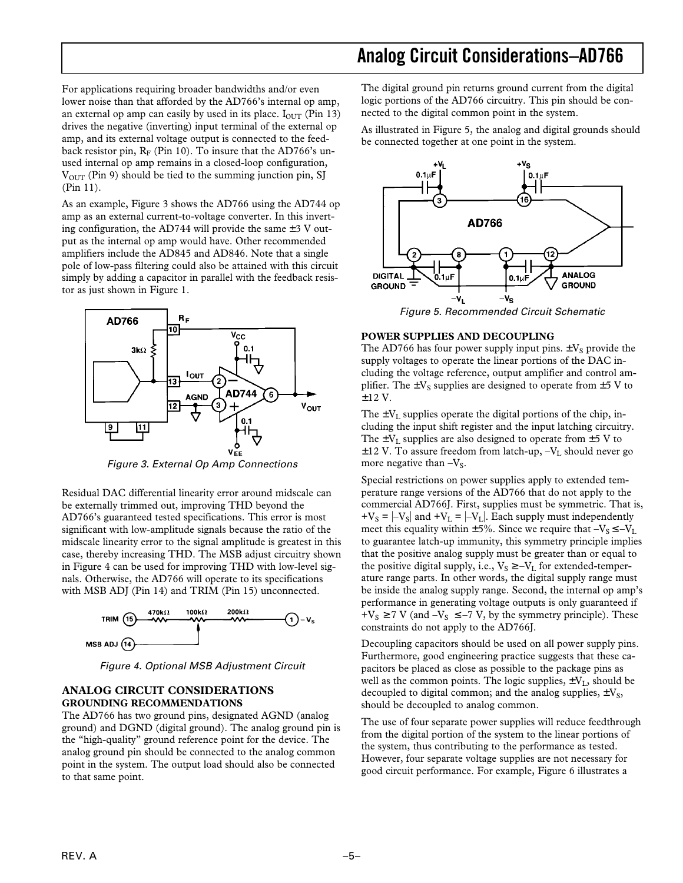For applications requiring broader bandwidths and/or even lower noise than that afforded by the AD766's internal op amp, an external op amp can easily by used in its place.  $I_{\text{OUT}}$  (Pin 13) drives the negative (inverting) input terminal of the external op amp, and its external voltage output is connected to the feedback resistor pin,  $R_F$  (Pin 10). To insure that the AD766's unused internal op amp remains in a closed-loop configuration,  $V<sub>OUT</sub>$  (Pin 9) should be tied to the summing junction pin, SJ (Pin 11).

As an example, Figure 3 shows the AD766 using the AD744 op amp as an external current-to-voltage converter. In this inverting configuration, the AD744 will provide the same  $\pm 3$  V output as the internal op amp would have. Other recommended amplifiers include the AD845 and AD846. Note that a single pole of low-pass filtering could also be attained with this circuit simply by adding a capacitor in parallel with the feedback resistor as just shown in Figure 1.



Figure 3. External Op Amp Connections

Residual DAC differential linearity error around midscale can be externally trimmed out, improving THD beyond the AD766's guaranteed tested specifications. This error is most significant with low-amplitude signals because the ratio of the midscale linearity error to the signal amplitude is greatest in this case, thereby increasing THD. The MSB adjust circuitry shown in Figure 4 can be used for improving THD with low-level signals. Otherwise, the AD766 will operate to its specifications with MSB ADJ (Pin 14) and TRIM (Pin 15) unconnected.



Figure 4. Optional MSB Adjustment Circuit

#### **ANALOG CIRCUIT CONSIDERATIONS GROUNDING RECOMMENDATIONS**

The AD766 has two ground pins, designated AGND (analog ground) and DGND (digital ground). The analog ground pin is the "high-quality" ground reference point for the device. The analog ground pin should be connected to the analog common point in the system. The output load should also be connected to that same point.

The digital ground pin returns ground current from the digital logic portions of the AD766 circuitry. This pin should be connected to the digital common point in the system.

As illustrated in Figure 5, the analog and digital grounds should be connected together at one point in the system.



Figure 5. Recommended Circuit Schematic

#### **POWER SUPPLIES AND DECOUPLING**

The AD766 has four power supply input pins.  $\pm V_S$  provide the supply voltages to operate the linear portions of the DAC including the voltage reference, output amplifier and control amplifier. The  $\pm V_s$  supplies are designed to operate from  $\pm 5$  V to ±12 V.

The  $\pm V_L$  supplies operate the digital portions of the chip, including the input shift register and the input latching circuitry. The  $\pm V_L$  supplies are also designed to operate from  $\pm 5$  V to  $\pm$ 12 V. To assure freedom from latch-up, -V<sub>L</sub> should never go more negative than  $-V<sub>S</sub>$ .

Special restrictions on power supplies apply to extended temperature range versions of the AD766 that do not apply to the commercial AD766J. First, supplies must be symmetric. That is,  $+V_s = |-V_s|$  and  $+V_l = |-V_l|$ . Each supply must independently meet this equality within  $\pm 5\%$ . Since we require that  $-V_s \le -V_L$ to guarantee latch-up immunity, this symmetry principle implies that the positive analog supply must be greater than or equal to the positive digital supply, i.e.,  $V_S \ge -V_L$  for extended-temperature range parts. In other words, the digital supply range must be inside the analog supply range. Second, the internal op amp's performance in generating voltage outputs is only guaranteed if  $+V_S \ge 7$  V (and  $-V_S \le -7$  V, by the symmetry principle). These constraints do not apply to the AD766J.

Decoupling capacitors should be used on all power supply pins. Furthermore, good engineering practice suggests that these capacitors be placed as close as possible to the package pins as well as the common points. The logic supplies,  $\pm V_L$ , should be decoupled to digital common; and the analog supplies,  $\pm V_s$ , should be decoupled to analog common.

The use of four separate power supplies will reduce feedthrough from the digital portion of the system to the linear portions of the system, thus contributing to the performance as tested. However, four separate voltage supplies are not necessary for good circuit performance. For example, Figure 6 illustrates a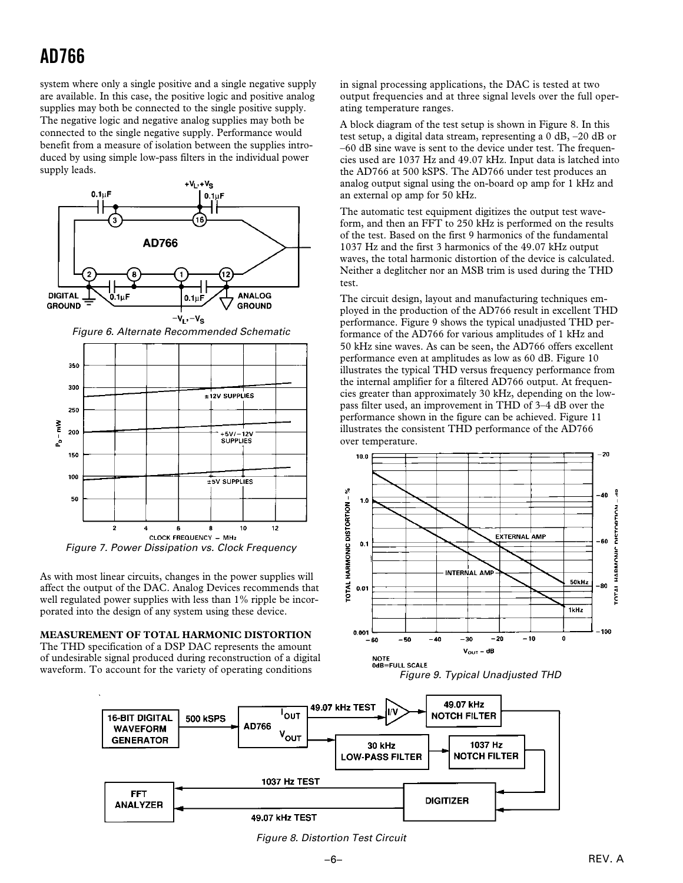# **AD766**

system where only a single positive and a single negative supply are available. In this case, the positive logic and positive analog supplies may both be connected to the single positive supply. The negative logic and negative analog supplies may both be connected to the single negative supply. Performance would benefit from a measure of isolation between the supplies introduced by using simple low-pass filters in the individual power supply leads.





As with most linear circuits, changes in the power supplies will affect the output of the DAC. Analog Devices recommends that well regulated power supplies with less than 1% ripple be incorporated into the design of any system using these device.

### **MEASUREMENT OF TOTAL HARMONIC DISTORTION**

The THD specification of a DSP DAC represents the amount of undesirable signal produced during reconstruction of a digital waveform. To account for the variety of operating conditions

in signal processing applications, the DAC is tested at two output frequencies and at three signal levels over the full operating temperature ranges.

A block diagram of the test setup is shown in Figure 8. In this test setup, a digital data stream, representing a 0 dB, –20 dB or –60 dB sine wave is sent to the device under test. The frequencies used are 1037 Hz and 49.07 kHz. Input data is latched into the AD766 at 500 kSPS. The AD766 under test produces an analog output signal using the on-board op amp for 1 kHz and an external op amp for 50 kHz.

The automatic test equipment digitizes the output test waveform, and then an FFT to 250 kHz is performed on the results of the test. Based on the first 9 harmonics of the fundamental 1037 Hz and the first 3 harmonics of the 49.07 kHz output waves, the total harmonic distortion of the device is calculated. Neither a deglitcher nor an MSB trim is used during the THD test.

The circuit design, layout and manufacturing techniques employed in the production of the AD766 result in excellent THD performance. Figure 9 shows the typical unadjusted THD performance of the AD766 for various amplitudes of 1 kHz and 50 kHz sine waves. As can be seen, the AD766 offers excellent performance even at amplitudes as low as 60 dB. Figure 10 illustrates the typical THD versus frequency performance from the internal amplifier for a filtered AD766 output. At frequencies greater than approximately 30 kHz, depending on the lowpass filter used, an improvement in THD of 3–4 dB over the performance shown in the figure can be achieved. Figure 11 illustrates the consistent THD performance of the AD766 over temperature.







Figure 8. Distortion Test Circuit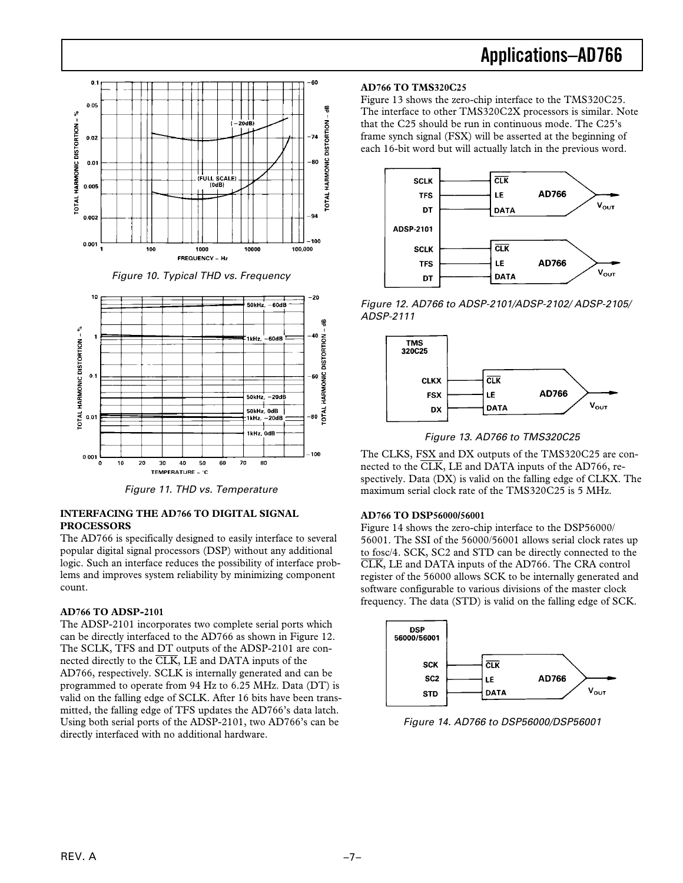

Figure 10. Typical THD vs. Frequency



Figure 11. THD vs. Temperature

### **INTERFACING THE AD766 TO DIGITAL SIGNAL PROCESSORS**

The AD766 is specifically designed to easily interface to several popular digital signal processors (DSP) without any additional logic. Such an interface reduces the possibility of interface problems and improves system reliability by minimizing component count.

# **AD766 TO ADSP-2101**

The ADSP-2101 incorporates two complete serial ports which can be directly interfaced to the AD766 as shown in Figure 12. The SCLK, TFS and DT outputs of the ADSP-2101 are connected directly to the CLK, LE and DATA inputs of the AD766, respectively. SCLK is internally generated and can be programmed to operate from 94 Hz to 6.25 MHz. Data (DT) is valid on the falling edge of SCLK. After 16 bits have been transmitted, the falling edge of TFS updates the AD766's data latch. Using both serial ports of the ADSP-2101, two AD766's can be directly interfaced with no additional hardware.

## **AD766 TO TMS320C25**

Figure 13 shows the zero-chip interface to the TMS320C25. The interface to other TMS320C2X processors is similar. Note that the C25 should be run in continuous mode. The C25's frame synch signal (FSX) will be asserted at the beginning of each 16-bit word but will actually latch in the previous word.



Figure 12. AD766 to ADSP-2101/ADSP-2102/ ADSP-2105/ ADSP-2111



Figure 13. AD766 to TMS320C25

The CLKS, FSX and DX outputs of the TMS320C25 are connected to the  $\overline{\text{CLK}}$ , LE and DATA inputs of the AD766, respectively. Data (DX) is valid on the falling edge of CLKX. The maximum serial clock rate of the TMS320C25 is 5 MHz.

# **AD766 TO DSP56000/56001**

Figure 14 shows the zero-chip interface to the DSP56000/ 56001. The SSI of the 56000/56001 allows serial clock rates up to fosc/4. SCK, SC2 and STD can be directly connected to the CLK, LE and DATA inputs of the AD766. The CRA control register of the 56000 allows SCK to be internally generated and software configurable to various divisions of the master clock frequency. The data (STD) is valid on the falling edge of SCK.



Figure 14. AD766 to DSP56000/DSP56001